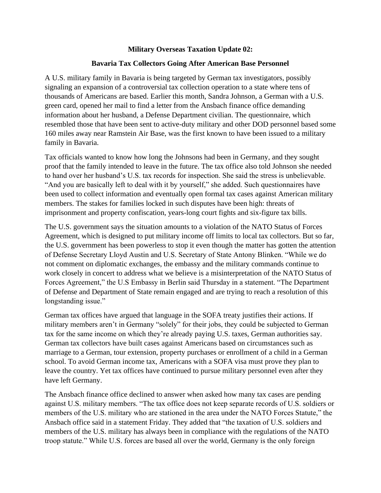## **Military Overseas Taxation Update 02:**

## **Bavaria Tax Collectors Going After American Base Personnel**

A U.S. military family in Bavaria is being targeted by German tax investigators, possibly signaling an expansion of a controversial tax collection operation to a state where tens of thousands of Americans are based. Earlier this month, Sandra Johnson, a German with a U.S. green card, opened her mail to find a letter from the Ansbach finance office demanding information about her husband, a Defense Department civilian. The questionnaire, which resembled those that have been sent to active-duty military and other DOD personnel based some 160 miles away near Ramstein Air Base, was the first known to have been issued to a military family in Bavaria.

Tax officials wanted to know how long the Johnsons had been in Germany, and they sought proof that the family intended to leave in the future. The tax office also told Johnson she needed to hand over her husband's U.S. tax records for inspection. She said the stress is unbelievable. "And you are basically left to deal with it by yourself," she added. Such questionnaires have been used to collect information and eventually open formal tax cases against American military members. The stakes for families locked in such disputes have been high: threats of imprisonment and property confiscation, years-long court fights and six-figure tax bills.

The U.S. government says the situation amounts to a violation of the NATO Status of Forces Agreement, which is designed to put military income off limits to local tax collectors. But so far, the U.S. government has been powerless to stop it even though the matter has gotten the attention of Defense Secretary Lloyd Austin and U.S. Secretary of State Antony Blinken. "While we do not comment on diplomatic exchanges, the embassy and the military commands continue to work closely in concert to address what we believe is a misinterpretation of the NATO Status of Forces Agreement," the U.S Embassy in Berlin said Thursday in a statement. "The Department of Defense and Department of State remain engaged and are trying to reach a resolution of this longstanding issue."

German tax offices have argued that language in the SOFA treaty justifies their actions. If military members aren't in Germany "solely" for their jobs, they could be subjected to German tax for the same income on which they're already paying U.S. taxes, German authorities say. German tax collectors have built cases against Americans based on circumstances such as marriage to a German, tour extension, property purchases or enrollment of a child in a German school. To avoid German income tax, Americans with a SOFA visa must prove they plan to leave the country. Yet tax offices have continued to pursue military personnel even after they have left Germany.

The Ansbach finance office declined to answer when asked how many tax cases are pending against U.S. military members. "The tax office does not keep separate records of U.S. soldiers or members of the U.S. military who are stationed in the area under the NATO Forces Statute," the Ansbach office said in a statement Friday. They added that "the taxation of U.S. soldiers and members of the U.S. military has always been in compliance with the regulations of the NATO troop statute." While U.S. forces are based all over the world, Germany is the only foreign